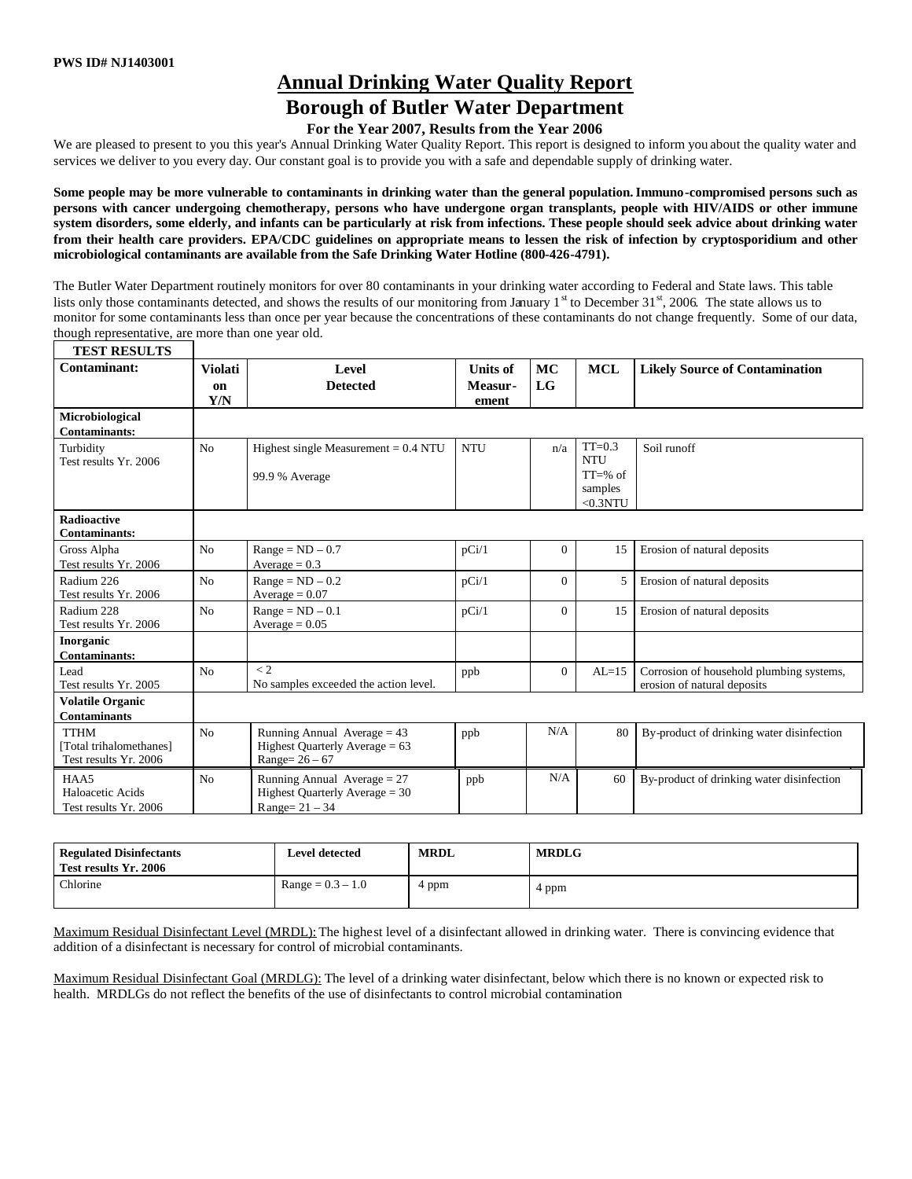**TEST RESULTS**

# **Annual Drinking Water Quality Report**

## **Borough of Butler Water Department**

### **For the Year 2007, Results from the Year 2006**

We are pleased to present to you this year's Annual Drinking Water Quality Report. This report is designed to inform you about the quality water and services we deliver to you every day. Our constant goal is to provide you with a safe and dependable supply of drinking water.

**Some people may be more vulnerable to contaminants in drinking water than the general population.Immuno-compromised persons such as persons with cancer undergoing chemotherapy, persons who have undergone organ transplants, people with HIV/AIDS or other immune system disorders, some elderly, and infants can be particularly at risk from infections. These people should seek advice about drinking water from their health care providers. EPA/CDC guidelines on appropriate means to lessen the risk of infection by cryptosporidium and other microbiological contaminants are available from the Safe Drinking Water Hotline (800-426-4791).**

The Butler Water Department routinely monitors for over 80 contaminants in your drinking water according to Federal and State laws. This table lists only those contaminants detected, and shows the results of our monitoring from January  $1<sup>st</sup>$  to December 31 $<sup>st</sup>$ , 2006. The state allows us to</sup> monitor for some contaminants less than once per year because the concentrations of these contaminants do not change frequently. Some of our data, though representative, are more than one year old.

| TERT KERALIR                               |                |                                        |                 |                |             |                                           |
|--------------------------------------------|----------------|----------------------------------------|-----------------|----------------|-------------|-------------------------------------------|
| Contaminant:                               | <b>Violati</b> | Level                                  | <b>Units of</b> | <b>MC</b>      | <b>MCL</b>  | <b>Likely Source of Contamination</b>     |
|                                            | on             | <b>Detected</b>                        | Measur-         | LG             |             |                                           |
|                                            | Y/N            |                                        | ement           |                |             |                                           |
| Microbiological                            |                |                                        |                 |                |             |                                           |
| <b>Contaminants:</b>                       |                |                                        |                 |                |             |                                           |
| Turbidity                                  | N <sub>o</sub> | Highest single Measurement $= 0.4$ NTU | <b>NTU</b>      | n/a            | $TT=0.3$    | Soil runoff                               |
| Test results Yr. 2006                      |                |                                        |                 |                | <b>NTU</b>  |                                           |
|                                            |                | 99.9 % Average                         |                 |                | $TT = % of$ |                                           |
|                                            |                |                                        |                 |                | samples     |                                           |
|                                            |                |                                        |                 |                | $<$ 0.3NTU  |                                           |
| <b>Radioactive</b><br><b>Contaminants:</b> |                |                                        |                 |                |             |                                           |
| Gross Alpha                                | N <sub>o</sub> | $Range = ND - 0.7$                     | pCi/1           | $\overline{0}$ | 15          | Erosion of natural deposits               |
| Test results Yr. 2006                      |                | Average = $0.3$                        |                 |                |             |                                           |
| Radium 226                                 | N <sub>o</sub> | $Range = ND - 0.2$                     | pCi/1           | $\Omega$       | 5           | Erosion of natural deposits               |
| Test results Yr. 2006                      |                | Average $= 0.07$                       |                 |                |             |                                           |
| Radium 228                                 | N <sub>o</sub> | $Range = ND - 0.1$                     | pCi/1           | $\Omega$       | 15          | Erosion of natural deposits               |
| Test results Yr. 2006                      |                | $Average = 0.05$                       |                 |                |             |                                           |
| Inorganic                                  |                |                                        |                 |                |             |                                           |
| <b>Contaminants:</b>                       |                |                                        |                 |                |             |                                           |
| Lead                                       | N <sub>o</sub> | $\lt 2$                                | ppb             | $\Omega$       | $AL=15$     | Corrosion of household plumbing systems,  |
| Test results Yr. 2005                      |                | No samples exceeded the action level.  |                 |                |             | erosion of natural deposits               |
| <b>Volatile Organic</b>                    |                |                                        |                 |                |             |                                           |
| <b>Contaminants</b>                        |                |                                        |                 |                |             |                                           |
| <b>TTHM</b>                                | N <sub>o</sub> | Running Annual Average $= 43$          | ppb             | N/A            | 80          | By-product of drinking water disinfection |
| [Total trihalomethanes]                    |                | Highest Quarterly Average = 63         |                 |                |             |                                           |
| Test results Yr. 2006                      |                | Range= $26-67$                         |                 |                |             |                                           |
| HAA5                                       | N <sub>o</sub> | Running Annual Average $= 27$          | ppb             | N/A            | 60          | By-product of drinking water disinfection |
| Haloacetic Acids                           |                | Highest Quarterly Average $=$ 30       |                 |                |             |                                           |
| Test results Yr. 2006                      |                | $Range = 21 - 34$                      |                 |                |             |                                           |
|                                            |                |                                        |                 |                |             |                                           |

| <b>Regulated Disinfectants</b><br>Test results Yr. 2006 | <b>Level detected</b> | <b>MRDL</b> | <b>MRDLG</b> |
|---------------------------------------------------------|-----------------------|-------------|--------------|
| Chlorine                                                | $Range = 0.3 - 1.0$   | l ppm       | 4 ppm        |

Maximum Residual Disinfectant Level (MRDL): The highest level of a disinfectant allowed in drinking water. There is convincing evidence that addition of a disinfectant is necessary for control of microbial contaminants.

Maximum Residual Disinfectant Goal (MRDLG): The level of a drinking water disinfectant, below which there is no known or expected risk to health. MRDLGs do not reflect the benefits of the use of disinfectants to control microbial contamination